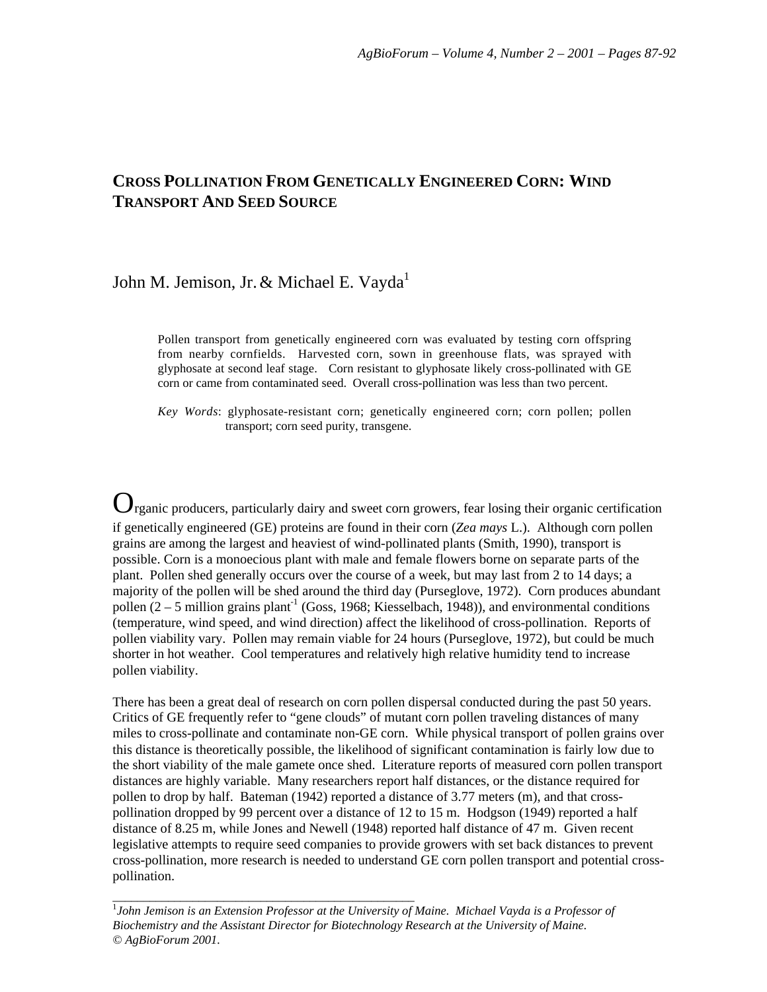# **CROSS POLLINATION FROM GENETICALLY ENGINEERED CORN: WIND TRANSPORT AND SEED SOURCE**

# John M. Jemison, Jr. & Michael E. Vayda<sup>1</sup>

Pollen transport from genetically engineered corn was evaluated by testing corn offspring from nearby cornfields. Harvested corn, sown in greenhouse flats, was sprayed with glyphosate at second leaf stage. Corn resistant to glyphosate likely cross-pollinated with GE corn or came from contaminated seed. Overall cross-pollination was less than two percent.

*Key Words*: glyphosate-resistant corn; genetically engineered corn; corn pollen; pollen transport; corn seed purity, transgene.

Organic producers, particularly dairy and sweet corn growers, fear losing their organic certification if genetically engineered (GE) proteins are found in their corn (*Zea mays* L.). Although corn pollen grains are among the largest and heaviest of wind-pollinated plants (Smith, 1990), transport is possible. Corn is a monoecious plant with male and female flowers borne on separate parts of the plant. Pollen shed generally occurs over the course of a week, but may last from 2 to 14 days; a majority of the pollen will be shed around the third day (Purseglove, 1972). Corn produces abundant pollen  $(2 - 5$  million grains plant<sup>-1</sup> (Goss, 1968; Kiesselbach, 1948)), and environmental conditions (temperature, wind speed, and wind direction) affect the likelihood of cross-pollination. Reports of pollen viability vary. Pollen may remain viable for 24 hours (Purseglove, 1972), but could be much shorter in hot weather. Cool temperatures and relatively high relative humidity tend to increase pollen viability.

There has been a great deal of research on corn pollen dispersal conducted during the past 50 years. Critics of GE frequently refer to "gene clouds" of mutant corn pollen traveling distances of many miles to cross-pollinate and contaminate non-GE corn. While physical transport of pollen grains over this distance is theoretically possible, the likelihood of significant contamination is fairly low due to the short viability of the male gamete once shed. Literature reports of measured corn pollen transport distances are highly variable. Many researchers report half distances, or the distance required for pollen to drop by half. Bateman (1942) reported a distance of 3.77 meters (m), and that crosspollination dropped by 99 percent over a distance of 12 to 15 m. Hodgson (1949) reported a half distance of 8.25 m, while Jones and Newell (1948) reported half distance of 47 m. Given recent legislative attempts to require seed companies to provide growers with set back distances to prevent cross-pollination, more research is needed to understand GE corn pollen transport and potential crosspollination.

<sup>1</sup>John Jemison is an Extension Professor at the University of Maine. Michael Vayda is a Professor of *Biochemistry and the Assistant Director for Biotechnology Research at the University of Maine. © AgBioForum 2001.*

*\_\_\_\_\_\_\_\_\_\_\_\_\_\_\_\_\_\_\_\_\_\_\_\_\_\_\_\_\_\_\_\_\_\_\_\_\_\_\_\_\_\_\_\_\_\_\_\_\_*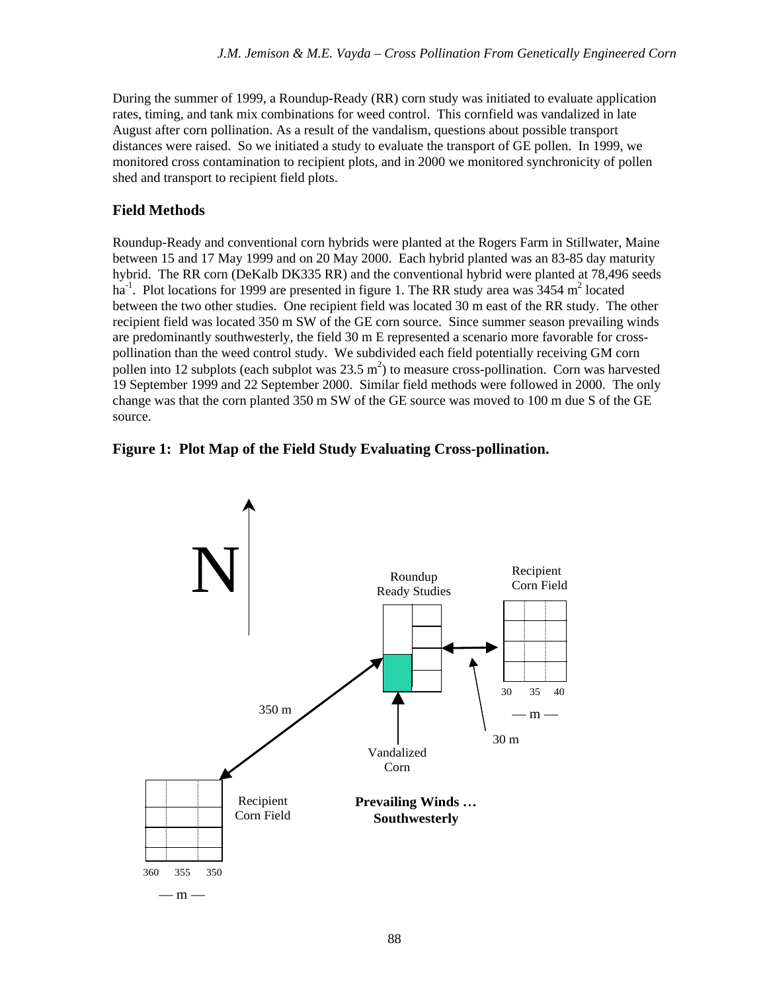During the summer of 1999, a Roundup-Ready (RR) corn study was initiated to evaluate application rates, timing, and tank mix combinations for weed control. This cornfield was vandalized in late August after corn pollination. As a result of the vandalism, questions about possible transport distances were raised. So we initiated a study to evaluate the transport of GE pollen. In 1999, we monitored cross contamination to recipient plots, and in 2000 we monitored synchronicity of pollen shed and transport to recipient field plots.

### **Field Methods**

Roundup-Ready and conventional corn hybrids were planted at the Rogers Farm in Stillwater, Maine between 15 and 17 May 1999 and on 20 May 2000. Each hybrid planted was an 83-85 day maturity hybrid. The RR corn (DeKalb DK335 RR) and the conventional hybrid were planted at 78,496 seeds ha<sup>-1</sup>. Plot locations for 1999 are presented in figure 1. The RR study area was  $3454 \text{ m}^2$  located between the two other studies. One recipient field was located 30 m east of the RR study. The other recipient field was located 350 m SW of the GE corn source. Since summer season prevailing winds are predominantly southwesterly, the field 30 m E represented a scenario more favorable for crosspollination than the weed control study. We subdivided each field potentially receiving GM corn pollen into 12 subplots (each subplot was  $23.5 \text{ m}^2$ ) to measure cross-pollination. Corn was harvested 19 September 1999 and 22 September 2000. Similar field methods were followed in 2000. The only change was that the corn planted 350 m SW of the GE source was moved to 100 m due S of the GE source.



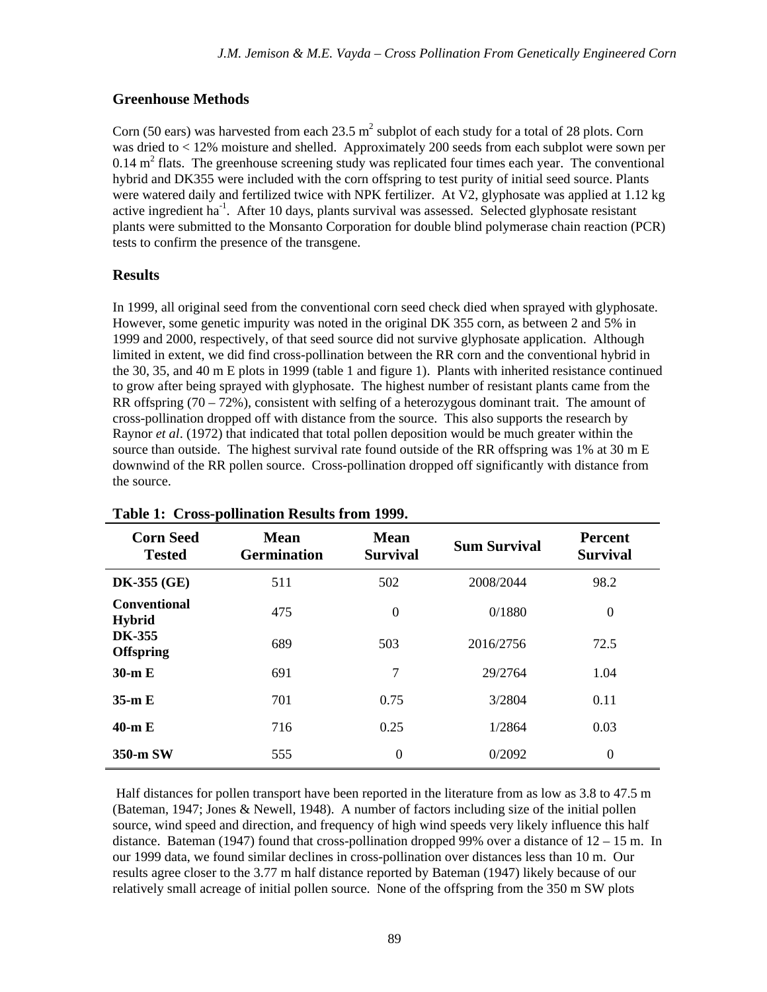## **Greenhouse Methods**

Corn (50 ears) was harvested from each 23.5  $m^2$  subplot of each study for a total of 28 plots. Corn was dried to < 12% moisture and shelled. Approximately 200 seeds from each subplot were sown per  $0.14 \text{ m}^2$  flats. The greenhouse screening study was replicated four times each year. The conventional hybrid and DK355 were included with the corn offspring to test purity of initial seed source. Plants were watered daily and fertilized twice with NPK fertilizer. At V2, glyphosate was applied at 1.12 kg active ingredient ha<sup>-1</sup>. After 10 days, plants survival was assessed. Selected glyphosate resistant plants were submitted to the Monsanto Corporation for double blind polymerase chain reaction (PCR) tests to confirm the presence of the transgene.

### **Results**

In 1999, all original seed from the conventional corn seed check died when sprayed with glyphosate. However, some genetic impurity was noted in the original DK 355 corn, as between 2 and 5% in 1999 and 2000, respectively, of that seed source did not survive glyphosate application. Although limited in extent, we did find cross-pollination between the RR corn and the conventional hybrid in the 30, 35, and 40 m E plots in 1999 (table 1 and figure 1). Plants with inherited resistance continued to grow after being sprayed with glyphosate. The highest number of resistant plants came from the RR offspring  $(70 - 72%)$ , consistent with selfing of a heterozygous dominant trait. The amount of cross-pollination dropped off with distance from the source. This also supports the research by Raynor *et al*. (1972) that indicated that total pollen deposition would be much greater within the source than outside. The highest survival rate found outside of the RR offspring was 1% at 30 m E downwind of the RR pollen source. Cross-pollination dropped off significantly with distance from the source.

| <b>Corn Seed</b><br><b>Tested</b>    | <b>Mean</b><br><b>Germination</b> | <b>Mean</b><br><b>Survival</b> | <b>Sum Survival</b> | <b>Percent</b><br><b>Survival</b> |
|--------------------------------------|-----------------------------------|--------------------------------|---------------------|-----------------------------------|
| <b>DK-355 (GE)</b>                   | 511                               | 502                            | 2008/2044           | 98.2                              |
| <b>Conventional</b><br><b>Hybrid</b> | 475                               | $\overline{0}$                 | 0/1880              | $\boldsymbol{0}$                  |
| <b>DK-355</b><br><b>Offspring</b>    | 689                               | 503                            | 2016/2756           | 72.5                              |
| $30-m E$                             | 691                               | 7                              | 29/2764             | 1.04                              |
| $35 \text{ m} \to$                   | 701                               | 0.75                           | 3/2804              | 0.11                              |
| $40-m E$                             | 716                               | 0.25                           | 1/2864              | 0.03                              |
| 350-m SW                             | 555                               | $\theta$                       | 0/2092              | $\theta$                          |

#### **Table 1: Cross-pollination Results from 1999.**

 Half distances for pollen transport have been reported in the literature from as low as 3.8 to 47.5 m (Bateman, 1947; Jones & Newell, 1948). A number of factors including size of the initial pollen source, wind speed and direction, and frequency of high wind speeds very likely influence this half distance. Bateman (1947) found that cross-pollination dropped 99% over a distance of 12 – 15 m. In our 1999 data, we found similar declines in cross-pollination over distances less than 10 m. Our results agree closer to the 3.77 m half distance reported by Bateman (1947) likely because of our relatively small acreage of initial pollen source. None of the offspring from the 350 m SW plots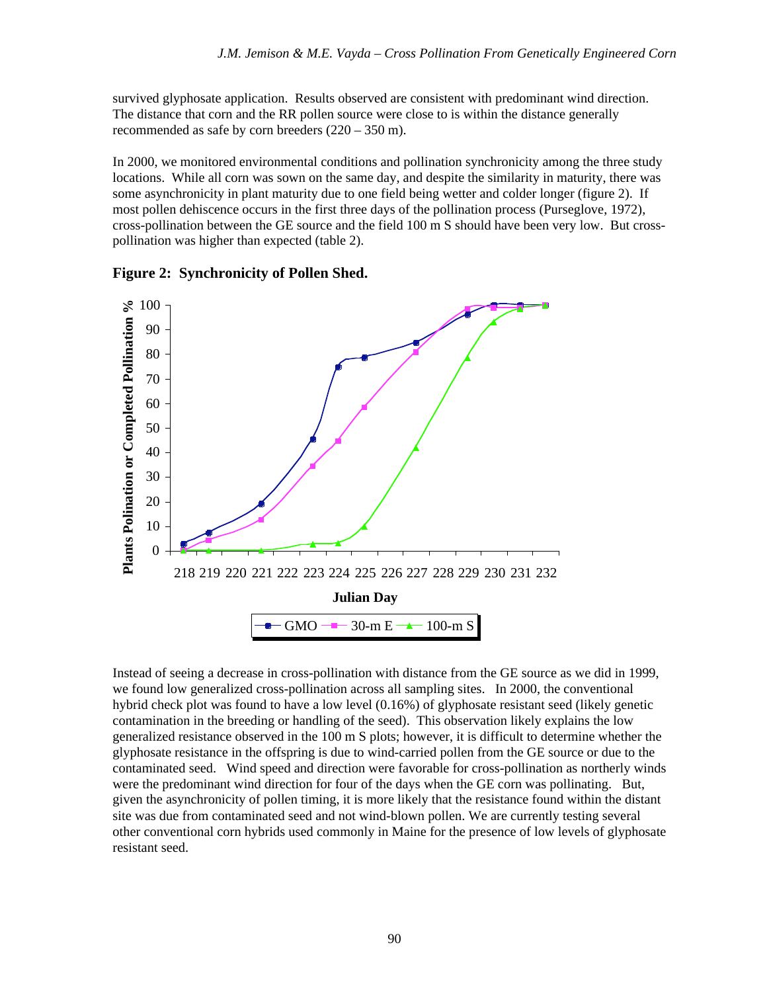survived glyphosate application. Results observed are consistent with predominant wind direction. The distance that corn and the RR pollen source were close to is within the distance generally recommended as safe by corn breeders (220 – 350 m).

In 2000, we monitored environmental conditions and pollination synchronicity among the three study locations. While all corn was sown on the same day, and despite the similarity in maturity, there was some asynchronicity in plant maturity due to one field being wetter and colder longer (figure 2). If most pollen dehiscence occurs in the first three days of the pollination process (Purseglove, 1972), cross-pollination between the GE source and the field 100 m S should have been very low. But crosspollination was higher than expected (table 2).



**Figure 2: Synchronicity of Pollen Shed.**

Instead of seeing a decrease in cross-pollination with distance from the GE source as we did in 1999, we found low generalized cross-pollination across all sampling sites. In 2000, the conventional hybrid check plot was found to have a low level (0.16%) of glyphosate resistant seed (likely genetic contamination in the breeding or handling of the seed). This observation likely explains the low generalized resistance observed in the 100 m S plots; however, it is difficult to determine whether the glyphosate resistance in the offspring is due to wind-carried pollen from the GE source or due to the contaminated seed. Wind speed and direction were favorable for cross-pollination as northerly winds were the predominant wind direction for four of the days when the GE corn was pollinating. But, given the asynchronicity of pollen timing, it is more likely that the resistance found within the distant site was due from contaminated seed and not wind-blown pollen. We are currently testing several other conventional corn hybrids used commonly in Maine for the presence of low levels of glyphosate resistant seed.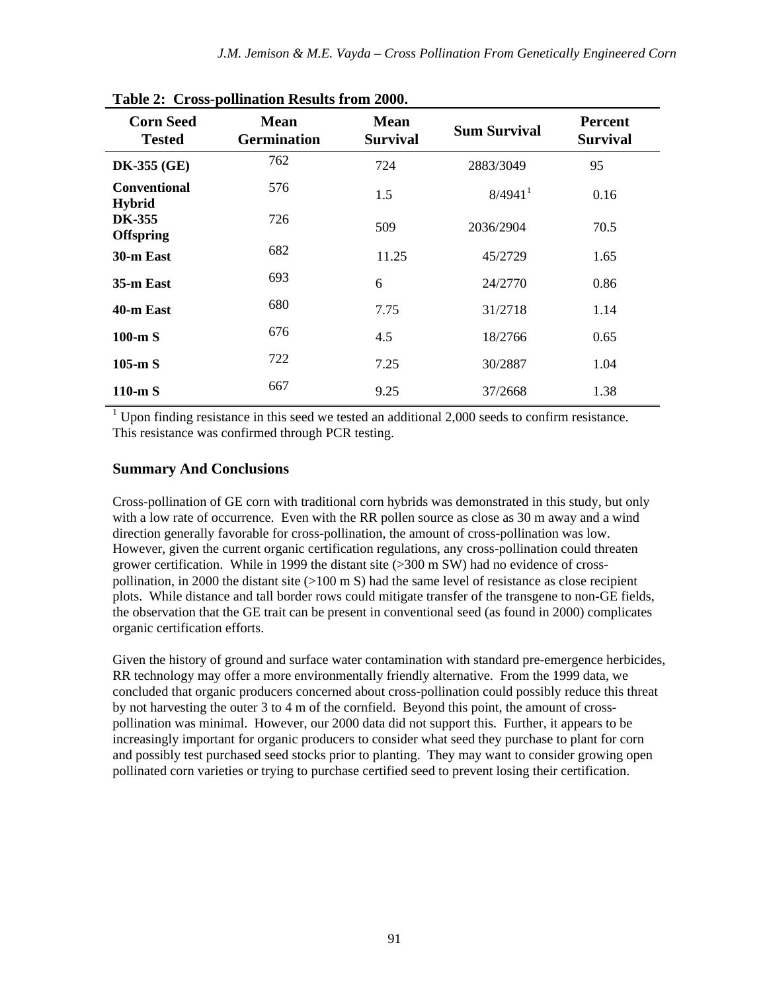| <b>Corn Seed</b><br><b>Tested</b>    | <b>Mean</b><br><b>Germination</b> | <b>Mean</b><br><b>Survival</b> | <b>Sum Survival</b>   | <b>Percent</b><br><b>Survival</b> |
|--------------------------------------|-----------------------------------|--------------------------------|-----------------------|-----------------------------------|
| <b>DK-355 (GE)</b>                   | 762                               | 724                            | 2883/3049             | 95                                |
| <b>Conventional</b><br><b>Hybrid</b> | 576                               | 1.5                            | $8/4941$ <sup>1</sup> | 0.16                              |
| <b>DK-355</b><br><b>Offspring</b>    | 726                               | 509                            | 2036/2904             | 70.5                              |
| 30-m East                            | 682                               | 11.25                          | 45/2729               | 1.65                              |
| 35-m East                            | 693                               | 6                              | 24/2770               | 0.86                              |
| 40-m East                            | 680                               | 7.75                           | 31/2718               | 1.14                              |
| $100-m S$                            | 676                               | 4.5                            | 18/2766               | 0.65                              |
| $105 \text{-m}$ S                    | 722                               | 7.25                           | 30/2887               | 1.04                              |
| $110-mS$                             | 667                               | 9.25                           | 37/2668               | 1.38                              |

**Table 2: Cross-pollination Results from 2000.**

 $1$  Upon finding resistance in this seed we tested an additional 2,000 seeds to confirm resistance. This resistance was confirmed through PCR testing.

#### **Summary And Conclusions**

Cross-pollination of GE corn with traditional corn hybrids was demonstrated in this study, but only with a low rate of occurrence. Even with the RR pollen source as close as 30 m away and a wind direction generally favorable for cross-pollination, the amount of cross-pollination was low. However, given the current organic certification regulations, any cross-pollination could threaten grower certification. While in 1999 the distant site (>300 m SW) had no evidence of crosspollination, in 2000 the distant site  $(>100 \text{ m S})$  had the same level of resistance as close recipient plots. While distance and tall border rows could mitigate transfer of the transgene to non-GE fields, the observation that the GE trait can be present in conventional seed (as found in 2000) complicates organic certification efforts.

Given the history of ground and surface water contamination with standard pre-emergence herbicides, RR technology may offer a more environmentally friendly alternative. From the 1999 data, we concluded that organic producers concerned about cross-pollination could possibly reduce this threat by not harvesting the outer 3 to 4 m of the cornfield. Beyond this point, the amount of crosspollination was minimal. However, our 2000 data did not support this. Further, it appears to be increasingly important for organic producers to consider what seed they purchase to plant for corn and possibly test purchased seed stocks prior to planting. They may want to consider growing open pollinated corn varieties or trying to purchase certified seed to prevent losing their certification.